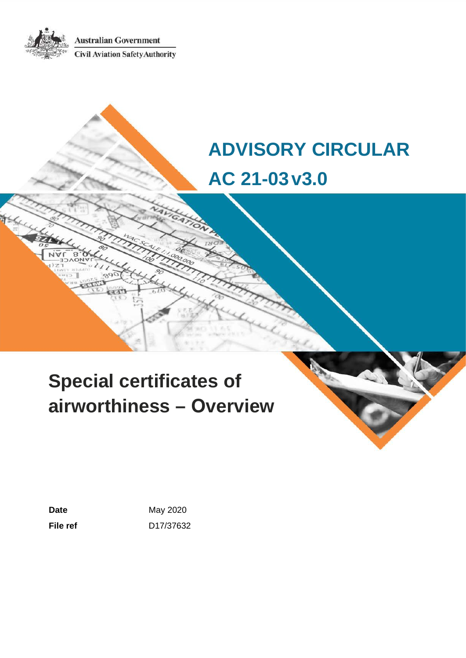**Australian Government Civil Aviation Safety Authority** 

# **ADVISORY CIRCULAR AC 21-03v3.0**

# **Special certificates of airworthiness – Overview**

**Date May 2020 File ref** D17/37632

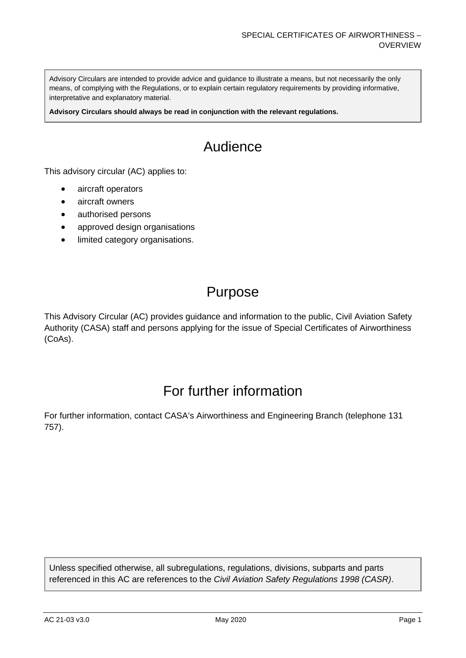Advisory Circulars are intended to provide advice and guidance to illustrate a means, but not necessarily the only means, of complying with the Regulations, or to explain certain regulatory requirements by providing informative, interpretative and explanatory material.

**Advisory Circulars should always be read in conjunction with the relevant regulations.**

# Audience

This advisory circular (AC) applies to:

- aircraft operators
- aircraft owners
- authorised persons
- approved design organisations
- limited category organisations.

## Purpose

This Advisory Circular (AC) provides guidance and information to the public, Civil Aviation Safety Authority (CASA) staff and persons applying for the issue of Special Certificates of Airworthiness (CoAs).

## For further information

For further information, contact CASA's Airworthiness and Engineering Branch (telephone 131 757).

Unless specified otherwise, all subregulations, regulations, divisions, subparts and parts referenced in this AC are references to the *Civil Aviation Safety Regulations 1998 (CASR)*.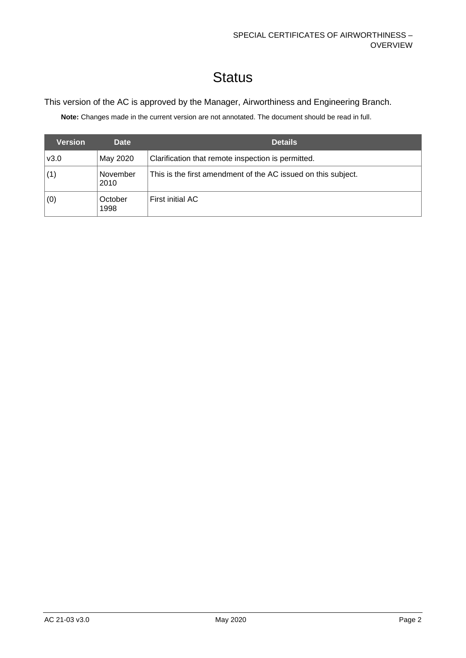# **Status**

#### This version of the AC is approved by the Manager, Airworthiness and Engineering Branch.

**Note:** Changes made in the current version are not annotated. The document should be read in full.

| <b>Version</b> | <b>Date</b>      | <b>Details</b>                                                |
|----------------|------------------|---------------------------------------------------------------|
| v3.0           | May 2020         | Clarification that remote inspection is permitted.            |
|                | November<br>2010 | This is the first amendment of the AC issued on this subject. |
| (0)            | October<br>1998  | First initial AC                                              |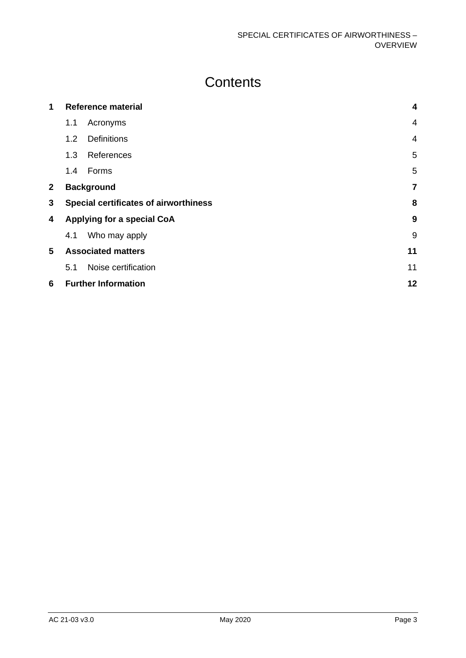# **Contents**

| 1            | Reference material         |                                              | $\overline{\mathbf{4}}$ |
|--------------|----------------------------|----------------------------------------------|-------------------------|
|              | 1.1                        | Acronyms                                     | $\overline{4}$          |
|              | 1.2                        | <b>Definitions</b>                           | $\overline{4}$          |
|              | 1.3                        | References                                   | 5                       |
|              | 1.4                        | Forms                                        | 5                       |
| $\mathbf{2}$ |                            | <b>Background</b>                            | $\overline{7}$          |
| 3            |                            | <b>Special certificates of airworthiness</b> | 8                       |
| 4            | Applying for a special CoA |                                              | 9                       |
|              | 4.1                        | Who may apply                                | 9                       |
| 5            | <b>Associated matters</b>  |                                              | 11                      |
|              | 5.1                        | Noise certification                          | 11                      |
| 6            |                            | <b>Further Information</b>                   | 12                      |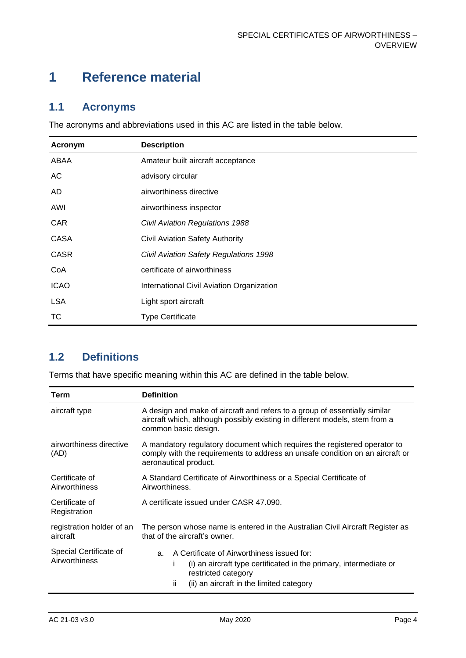## <span id="page-4-0"></span>**1 Reference material**

### <span id="page-4-1"></span>**1.1 Acronyms**

The acronyms and abbreviations used in this AC are listed in the table below.

| Acronym     | <b>Description</b>                        |
|-------------|-------------------------------------------|
| ABAA        | Amateur built aircraft acceptance         |
| AC          | advisory circular                         |
| AD.         | airworthiness directive                   |
| AWI         | airworthiness inspector                   |
| <b>CAR</b>  | <b>Civil Aviation Regulations 1988</b>    |
| <b>CASA</b> | <b>Civil Aviation Safety Authority</b>    |
| <b>CASR</b> | Civil Aviation Safety Regulations 1998    |
| CoA         | certificate of airworthiness              |
| <b>ICAO</b> | International Civil Aviation Organization |
| <b>LSA</b>  | Light sport aircraft                      |
| ТC          | <b>Type Certificate</b>                   |

### <span id="page-4-2"></span>**1.2 Definitions**

Terms that have specific meaning within this AC are defined in the table below.

| Term                                    | <b>Definition</b>                                                                                                                                                                                    |
|-----------------------------------------|------------------------------------------------------------------------------------------------------------------------------------------------------------------------------------------------------|
| aircraft type                           | A design and make of aircraft and refers to a group of essentially similar<br>aircraft which, although possibly existing in different models, stem from a<br>common basic design.                    |
| airworthiness directive<br>(AD)         | A mandatory regulatory document which requires the registered operator to<br>comply with the requirements to address an unsafe condition on an aircraft or<br>aeronautical product.                  |
| Certificate of<br>Airworthiness         | A Standard Certificate of Airworthiness or a Special Certificate of<br>Airworthiness.                                                                                                                |
| Certificate of<br>Registration          | A certificate issued under CASR 47.090.                                                                                                                                                              |
| registration holder of an<br>aircraft   | The person whose name is entered in the Australian Civil Aircraft Register as<br>that of the aircraft's owner.                                                                                       |
| Special Certificate of<br>Airworthiness | A Certificate of Airworthiness issued for:<br>a.<br>(i) an aircraft type certificated in the primary, intermediate or<br>Ť<br>restricted category<br>ii.<br>(ii) an aircraft in the limited category |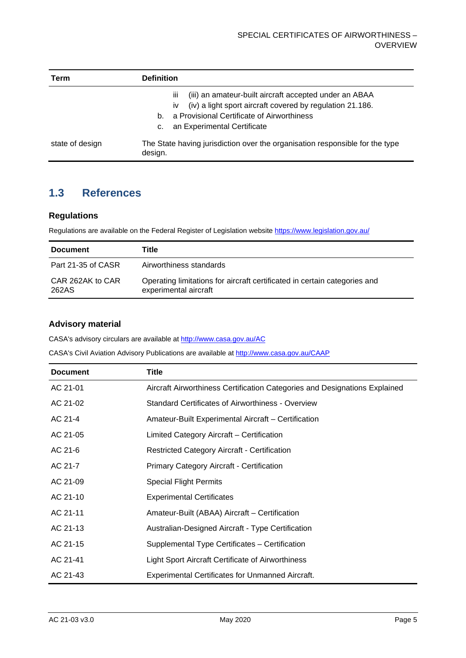| Term            | <b>Definition</b>                                                                                                                                                                                                                            |
|-----------------|----------------------------------------------------------------------------------------------------------------------------------------------------------------------------------------------------------------------------------------------|
|                 | (iii) an amateur-built aircraft accepted under an ABAA<br>Ш<br>(iv) a light sport aircraft covered by regulation 21.186.<br><b>iv</b><br>a Provisional Certificate of Airworthiness<br>$b_{-}$<br>an Experimental Certificate<br>$C_{\cdot}$ |
| state of design | The State having jurisdiction over the organisation responsible for the type<br>design.                                                                                                                                                      |

### <span id="page-5-0"></span>**1.3 References**

#### **Regulations**

Regulations are available on the Federal Register of Legislation website<https://www.legislation.gov.au/>

| <b>Document</b>           | Title                                                                                              |
|---------------------------|----------------------------------------------------------------------------------------------------|
| Part 21-35 of CASR        | Airworthiness standards                                                                            |
| CAR 262AK to CAR<br>262AS | Operating limitations for aircraft certificated in certain categories and<br>experimental aircraft |

#### <span id="page-5-1"></span>**Advisory material**

CASA's advisory circulars are available at [http://www.casa.gov.au/AC](http://www.casa.gov.au/ACs)

CASA's Civil Aviation Advisory Publications are available at [http://www.casa.gov.au/CAAP](http://www.casa.gov.au/CAAPs)

| <b>Document</b> | Title                                                                      |
|-----------------|----------------------------------------------------------------------------|
| AC 21-01        | Aircraft Airworthiness Certification Categories and Designations Explained |
| AC 21-02        | <b>Standard Certificates of Airworthiness - Overview</b>                   |
| AC 21-4         | Amateur-Built Experimental Aircraft - Certification                        |
| AC 21-05        | Limited Category Aircraft - Certification                                  |
| AC 21-6         | Restricted Category Aircraft - Certification                               |
| AC 21-7         | <b>Primary Category Aircraft - Certification</b>                           |
| AC 21-09        | Special Flight Permits                                                     |
| AC 21-10        | <b>Experimental Certificates</b>                                           |
| AC 21-11        | Amateur-Built (ABAA) Aircraft - Certification                              |
| AC 21-13        | Australian-Designed Aircraft - Type Certification                          |
| AC 21-15        | Supplemental Type Certificates - Certification                             |
| AC 21-41        | Light Sport Aircraft Certificate of Airworthiness                          |
| AC 21-43        | <b>Experimental Certificates for Unmanned Aircraft.</b>                    |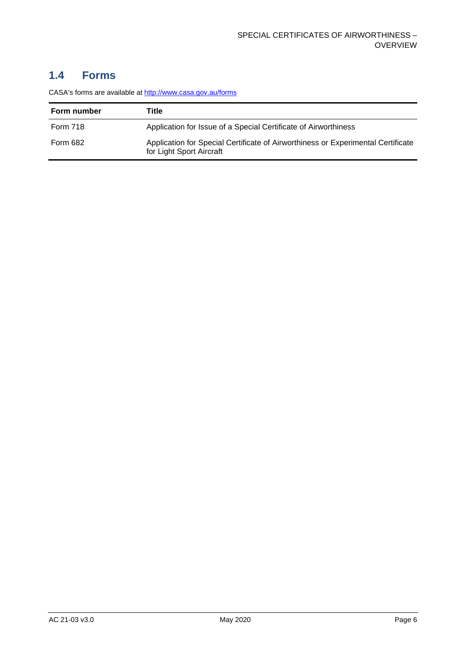### **1.4 Forms**

CASA's forms are available a[t http://www.casa.gov.au/forms](http://www.casa.gov.au/forms)

| Form number     | Title                                                                                                        |
|-----------------|--------------------------------------------------------------------------------------------------------------|
| <b>Form 718</b> | Application for Issue of a Special Certificate of Airworthiness                                              |
| <b>Form 682</b> | Application for Special Certificate of Airworthiness or Experimental Certificate<br>for Light Sport Aircraft |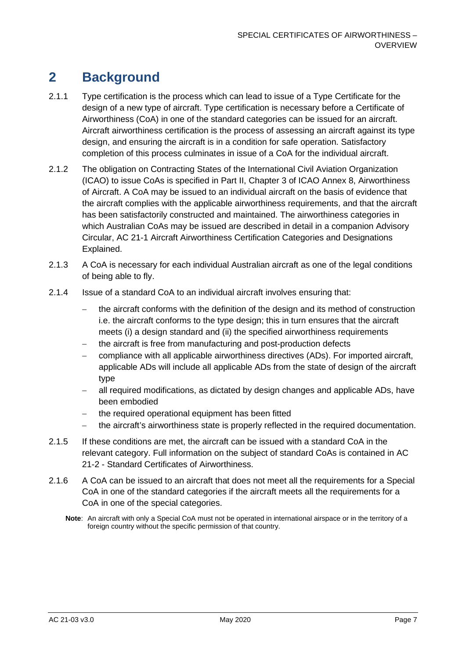### <span id="page-7-0"></span>**2 Background**

- 2.1.1 Type certification is the process which can lead to issue of a Type Certificate for the design of a new type of aircraft. Type certification is necessary before a Certificate of Airworthiness (CoA) in one of the standard categories can be issued for an aircraft. Aircraft airworthiness certification is the process of assessing an aircraft against its type design, and ensuring the aircraft is in a condition for safe operation. Satisfactory completion of this process culminates in issue of a CoA for the individual aircraft.
- 2.1.2 The obligation on Contracting States of the International Civil Aviation Organization (ICAO) to issue CoAs is specified in Part II, Chapter 3 of ICAO Annex 8, Airworthiness of Aircraft. A CoA may be issued to an individual aircraft on the basis of evidence that the aircraft complies with the applicable airworthiness requirements, and that the aircraft has been satisfactorily constructed and maintained. The airworthiness categories in which Australian CoAs may be issued are described in detail in a companion Advisory Circular, AC 21-1 Aircraft Airworthiness Certification Categories and Designations Explained.
- 2.1.3 A CoA is necessary for each individual Australian aircraft as one of the legal conditions of being able to fly.
- 2.1.4 Issue of a standard CoA to an individual aircraft involves ensuring that:
	- − the aircraft conforms with the definition of the design and its method of construction i.e. the aircraft conforms to the type design; this in turn ensures that the aircraft meets (i) a design standard and (ii) the specified airworthiness requirements
	- − the aircraft is free from manufacturing and post-production defects
	- − compliance with all applicable airworthiness directives (ADs). For imported aircraft, applicable ADs will include all applicable ADs from the state of design of the aircraft type
	- all required modifications, as dictated by design changes and applicable ADs, have been embodied
	- − the required operational equipment has been fitted
	- − the aircraft's airworthiness state is properly reflected in the required documentation.
- 2.1.5 If these conditions are met, the aircraft can be issued with a standard CoA in the relevant category. Full information on the subject of standard CoAs is contained in AC 21-2 - Standard Certificates of Airworthiness.
- 2.1.6 A CoA can be issued to an aircraft that does not meet all the requirements for a Special CoA in one of the standard categories if the aircraft meets all the requirements for a CoA in one of the special categories.
	- **Note**: An aircraft with only a Special CoA must not be operated in international airspace or in the territory of a foreign country without the specific permission of that country.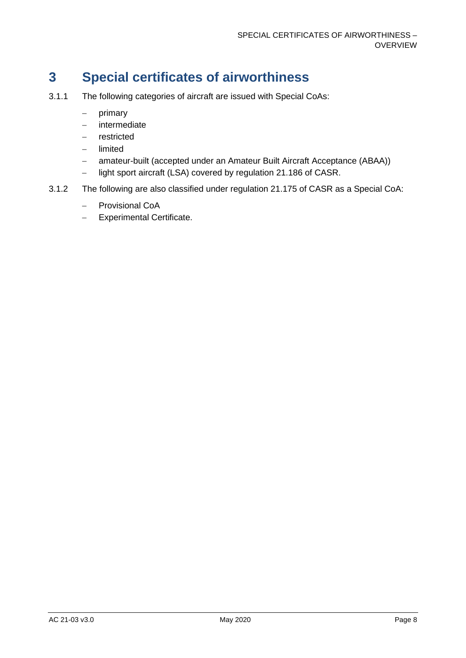## <span id="page-8-0"></span>**3 Special certificates of airworthiness**

- 3.1.1 The following categories of aircraft are issued with Special CoAs:
	- − primary
	- − intermediate
	- − restricted
	- − limited
	- − amateur-built (accepted under an Amateur Built Aircraft Acceptance (ABAA))
	- − light sport aircraft (LSA) covered by regulation 21.186 of CASR.
- 3.1.2 The following are also classified under regulation 21.175 of CASR as a Special CoA:
	- − Provisional CoA
	- − Experimental Certificate.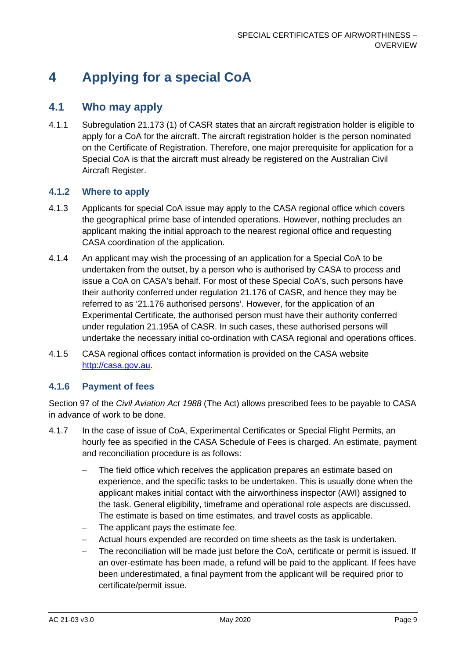# <span id="page-9-0"></span>**4 Applying for a special CoA**

### <span id="page-9-1"></span>**4.1 Who may apply**

4.1.1 Subregulation 21.173 (1) of CASR states that an aircraft registration holder is eligible to apply for a CoA for the aircraft. The aircraft registration holder is the person nominated on the Certificate of Registration. Therefore, one major prerequisite for application for a Special CoA is that the aircraft must already be registered on the Australian Civil Aircraft Register.

#### **4.1.2 Where to apply**

- 4.1.3 Applicants for special CoA issue may apply to the CASA regional office which covers the geographical prime base of intended operations. However, nothing precludes an applicant making the initial approach to the nearest regional office and requesting CASA coordination of the application.
- 4.1.4 An applicant may wish the processing of an application for a Special CoA to be undertaken from the outset, by a person who is authorised by CASA to process and issue a CoA on CASA's behalf. For most of these Special CoA's, such persons have their authority conferred under regulation 21.176 of CASR, and hence they may be referred to as '21.176 authorised persons'. However, for the application of an Experimental Certificate, the authorised person must have their authority conferred under regulation 21.195A of CASR. In such cases, these authorised persons will undertake the necessary initial co-ordination with CASA regional and operations offices.
- 4.1.5 CASA regional offices contact information is provided on the CASA website [http://casa.gov.au.](http://casa.gov.au/)

#### **4.1.6 Payment of fees**

Section 97 of the *Civil Aviation Act 1988* (The Act) allows prescribed fees to be payable to CASA in advance of work to be done.

- 4.1.7 In the case of issue of CoA, Experimental Certificates or Special Flight Permits, an hourly fee as specified in the CASA Schedule of Fees is charged. An estimate, payment and reconciliation procedure is as follows:
	- The field office which receives the application prepares an estimate based on experience, and the specific tasks to be undertaken. This is usually done when the applicant makes initial contact with the airworthiness inspector (AWI) assigned to the task. General eligibility, timeframe and operational role aspects are discussed. The estimate is based on time estimates, and travel costs as applicable.
	- − The applicant pays the estimate fee.
	- − Actual hours expended are recorded on time sheets as the task is undertaken.
	- The reconciliation will be made just before the CoA, certificate or permit is issued. If an over-estimate has been made, a refund will be paid to the applicant. If fees have been underestimated, a final payment from the applicant will be required prior to certificate/permit issue.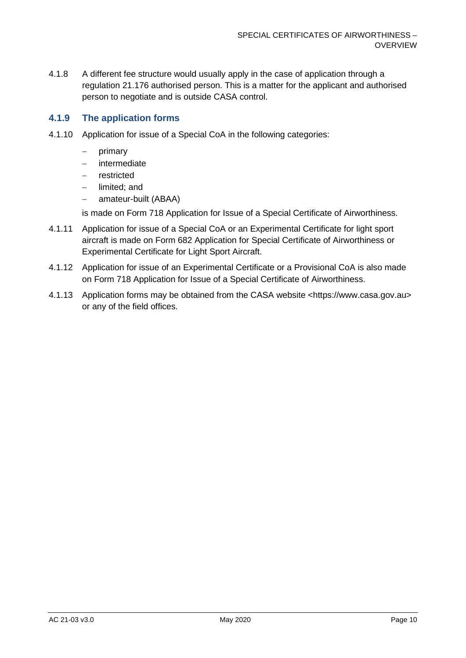4.1.8 A different fee structure would usually apply in the case of application through a regulation 21.176 authorised person. This is a matter for the applicant and authorised person to negotiate and is outside CASA control.

#### **4.1.9 The application forms**

- 4.1.10 Application for issue of a Special CoA in the following categories:
	- − primary
	- − intermediate
	- − restricted
	- − limited; and
	- − amateur-built (ABAA)

is made on Form 718 Application for Issue of a Special Certificate of Airworthiness.

- 4.1.11 Application for issue of a Special CoA or an Experimental Certificate for light sport aircraft is made on Form 682 Application for Special Certificate of Airworthiness or Experimental Certificate for Light Sport Aircraft.
- 4.1.12 Application for issue of an Experimental Certificate or a Provisional CoA is also made on Form 718 Application for Issue of a Special Certificate of Airworthiness.
- 4.1.13 Application forms may be obtained from the CASA website <https://www.casa.gov.au> or any of the field offices.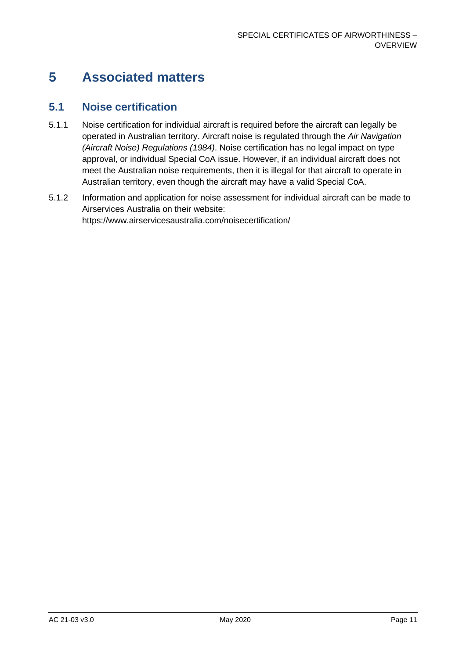## <span id="page-11-0"></span>**5 Associated matters**

### <span id="page-11-1"></span>**5.1 Noise certification**

- 5.1.1 Noise certification for individual aircraft is required before the aircraft can legally be operated in Australian territory. Aircraft noise is regulated through the *Air Navigation (Aircraft Noise) Regulations (1984)*. Noise certification has no legal impact on type approval, or individual Special CoA issue. However, if an individual aircraft does not meet the Australian noise requirements, then it is illegal for that aircraft to operate in Australian territory, even though the aircraft may have a valid Special CoA.
- 5.1.2 Information and application for noise assessment for individual aircraft can be made to Airservices Australia on their website: https://www.airservicesaustralia.com/noisecertification/